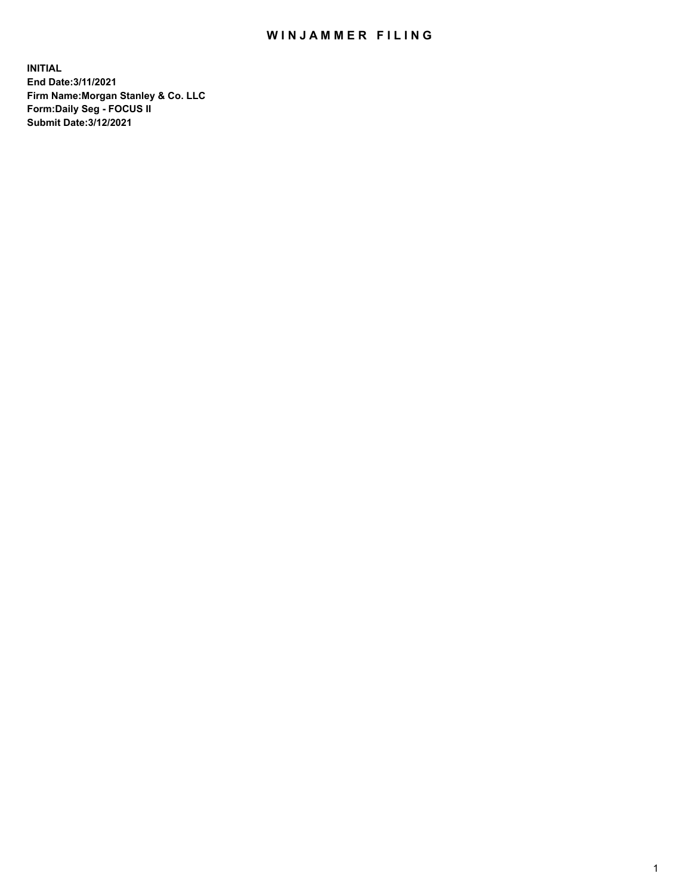## WIN JAMMER FILING

**INITIAL End Date:3/11/2021 Firm Name:Morgan Stanley & Co. LLC Form:Daily Seg - FOCUS II Submit Date:3/12/2021**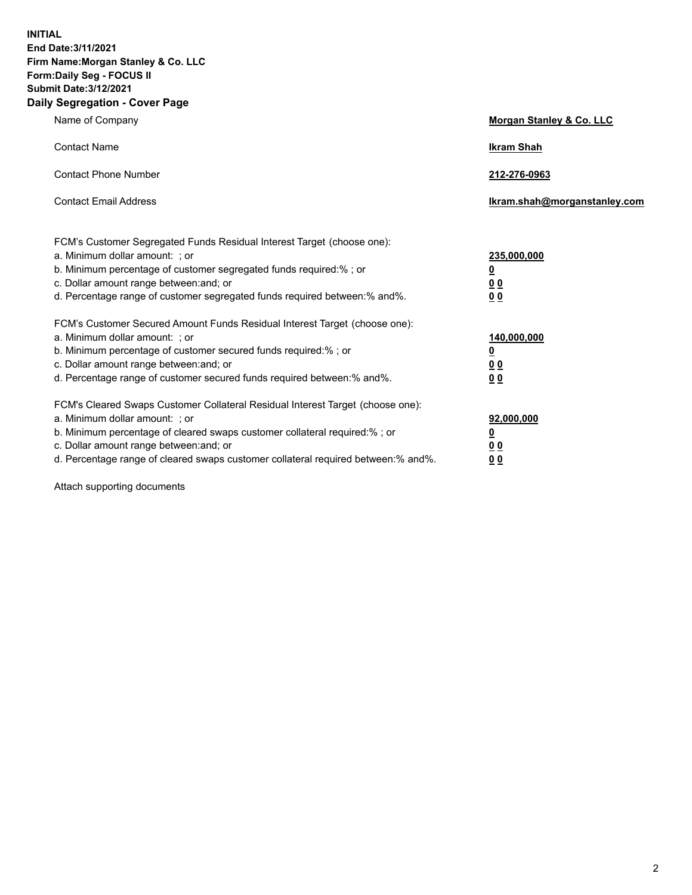**INITIAL End Date:3/11/2021 Firm Name:Morgan Stanley & Co. LLC Form:Daily Seg - FOCUS II Submit Date:3/12/2021 Daily Segregation - Cover Page**

| Name of Company                                                                                          | Morgan Stanley & Co. LLC     |
|----------------------------------------------------------------------------------------------------------|------------------------------|
| <b>Contact Name</b>                                                                                      | <b>Ikram Shah</b>            |
| <b>Contact Phone Number</b>                                                                              | 212-276-0963                 |
| <b>Contact Email Address</b>                                                                             | Ikram.shah@morganstanley.com |
|                                                                                                          |                              |
| FCM's Customer Segregated Funds Residual Interest Target (choose one):<br>a. Minimum dollar amount: ; or | 235,000,000                  |
| b. Minimum percentage of customer segregated funds required:% ; or                                       | <u>0</u>                     |
| c. Dollar amount range between: and; or                                                                  | <u>00</u>                    |
| d. Percentage range of customer segregated funds required between: % and %.                              | 0 <sup>0</sup>               |
| FCM's Customer Secured Amount Funds Residual Interest Target (choose one):                               |                              |
| a. Minimum dollar amount: ; or                                                                           | 140,000,000                  |
| b. Minimum percentage of customer secured funds required:%; or                                           | <u>0</u>                     |
| c. Dollar amount range between: and; or                                                                  | <u>0 0</u>                   |
| d. Percentage range of customer secured funds required between:% and%.                                   | 0 Q                          |
| FCM's Cleared Swaps Customer Collateral Residual Interest Target (choose one):                           |                              |
| a. Minimum dollar amount: ; or                                                                           | 92,000,000                   |
| b. Minimum percentage of cleared swaps customer collateral required:% ; or                               | <u>0</u>                     |
| c. Dollar amount range between: and; or                                                                  | 0 Q                          |
| d. Percentage range of cleared swaps customer collateral required between:% and%.                        | 0 <sub>0</sub>               |

Attach supporting documents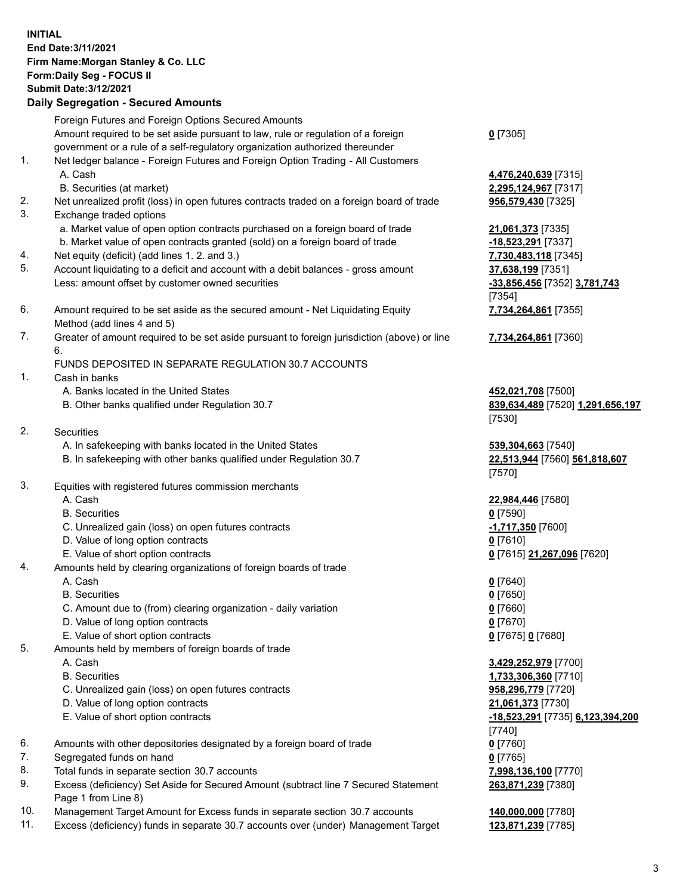## **INITIAL End Date:3/11/2021 Firm Name:Morgan Stanley & Co. LLC Form:Daily Seg - FOCUS II Submit Date:3/12/2021 Daily Segregation - Secured Amounts**

Foreign Futures and Foreign Options Secured Amounts Amount required to be set aside pursuant to law, rule or regulation of a foreign government or a rule of a self-regulatory organization authorized thereunder 1. Net ledger balance - Foreign Futures and Foreign Option Trading - All Customers A. Cash **4,476,240,639** [7315]

- 
- 2. Net unrealized profit (loss) in open futures contracts traded on a foreign board of trade **956,579,430** [7325]
- 3. Exchange traded options
	- a. Market value of open option contracts purchased on a foreign board of trade **21,061,373** [7335]
	- b. Market value of open contracts granted (sold) on a foreign board of trade **-18,523,291** [7337]
- 4. Net equity (deficit) (add lines 1. 2. and 3.) **7,730,483,118** [7345]
- 5. Account liquidating to a deficit and account with a debit balances gross amount **37,638,199** [7351] Less: amount offset by customer owned securities **-33,856,456** [7352] **3,781,743**
- 6. Amount required to be set aside as the secured amount Net Liquidating Equity Method (add lines 4 and 5)
- 7. Greater of amount required to be set aside pursuant to foreign jurisdiction (above) or line 6.

## FUNDS DEPOSITED IN SEPARATE REGULATION 30.7 ACCOUNTS

- 1. Cash in banks
	- A. Banks located in the United States **452,021,708** [7500]
	- B. Other banks qualified under Regulation 30.7 **839,634,489** [7520] **1,291,656,197**
- 2. Securities
	- A. In safekeeping with banks located in the United States **539,304,663** [7540]
	- B. In safekeeping with other banks qualified under Regulation 30.7 **22,513,944** [7560] **561,818,607**
- 3. Equities with registered futures commission merchants
	-
	- B. Securities **0** [7590]
	- C. Unrealized gain (loss) on open futures contracts **-1,717,350** [7600]
	- D. Value of long option contracts **0** [7610]
	- E. Value of short option contracts **0** [7615] **21,267,096** [7620]
- 4. Amounts held by clearing organizations of foreign boards of trade
	- A. Cash **0** [7640]
	- B. Securities **0** [7650]
	- C. Amount due to (from) clearing organization daily variation **0** [7660]
	- D. Value of long option contracts **0** [7670]
	- E. Value of short option contracts **0** [7675] **0** [7680]
- 5. Amounts held by members of foreign boards of trade
	-
	-
	- C. Unrealized gain (loss) on open futures contracts **958,296,779** [7720]
	- D. Value of long option contracts **21,061,373** [7730]
	- E. Value of short option contracts **-18,523,291** [7735] **6,123,394,200**
- 6. Amounts with other depositories designated by a foreign board of trade **0** [7760]
- 7. Segregated funds on hand **0** [7765]
- 8. Total funds in separate section 30.7 accounts **7,998,136,100** [7770]
- 9. Excess (deficiency) Set Aside for Secured Amount (subtract line 7 Secured Statement Page 1 from Line 8)
- 10. Management Target Amount for Excess funds in separate section 30.7 accounts **140,000,000** [7780]
- 11. Excess (deficiency) funds in separate 30.7 accounts over (under) Management Target **123,871,239** [7785]

**0** [7305]

B. Securities (at market) **2,295,124,967** [7317]

[7354] **7,734,264,861** [7355]

**7,734,264,861** [7360]

[7530]

[7570]

A. Cash **22,984,446** [7580]

 A. Cash **3,429,252,979** [7700] B. Securities **1,733,306,360** [7710] [7740] **263,871,239** [7380]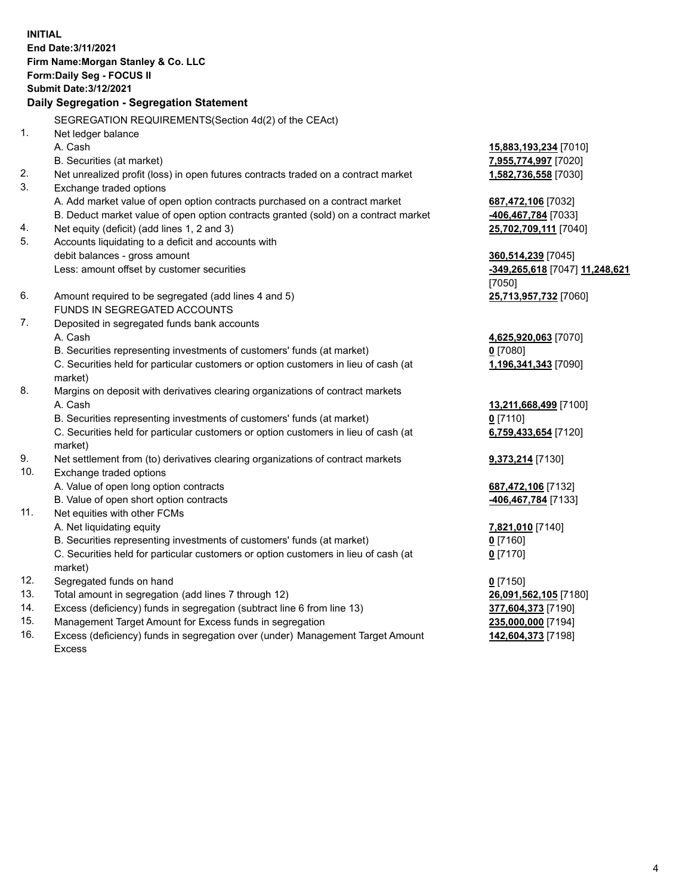**INITIAL End Date:3/11/2021 Firm Name:Morgan Stanley & Co. LLC Form:Daily Seg - FOCUS II Submit Date:3/12/2021 Daily Segregation - Segregation Statement** SEGREGATION REQUIREMENTS(Section 4d(2) of the CEAct) 1. Net ledger balance A. Cash **15,883,193,234** [7010] B. Securities (at market) **7,955,774,997** [7020] 2. Net unrealized profit (loss) in open futures contracts traded on a contract market **1,582,736,558** [7030] 3. Exchange traded options A. Add market value of open option contracts purchased on a contract market **687,472,106** [7032] B. Deduct market value of open option contracts granted (sold) on a contract market **-406,467,784** [7033] 4. Net equity (deficit) (add lines 1, 2 and 3) **25,702,709,111** [7040] 5. Accounts liquidating to a deficit and accounts with debit balances - gross amount **360,514,239** [7045] Less: amount offset by customer securities **-349,265,618** [7047] **11,248,621** [7050] 6. Amount required to be segregated (add lines 4 and 5) **25,713,957,732** [7060] FUNDS IN SEGREGATED ACCOUNTS 7. Deposited in segregated funds bank accounts A. Cash **4,625,920,063** [7070] B. Securities representing investments of customers' funds (at market) **0** [7080] C. Securities held for particular customers or option customers in lieu of cash (at market) **1,196,341,343** [7090] 8. Margins on deposit with derivatives clearing organizations of contract markets A. Cash **13,211,668,499** [7100] B. Securities representing investments of customers' funds (at market) **0** [7110] C. Securities held for particular customers or option customers in lieu of cash (at market) **6,759,433,654** [7120] 9. Net settlement from (to) derivatives clearing organizations of contract markets **9,373,214** [7130] 10. Exchange traded options A. Value of open long option contracts **687,472,106** [7132] B. Value of open short option contracts **-406,467,784** [7133] 11. Net equities with other FCMs A. Net liquidating equity **7,821,010** [7140] B. Securities representing investments of customers' funds (at market) **0** [7160] C. Securities held for particular customers or option customers in lieu of cash (at market) **0** [7170] 12. Segregated funds on hand **0** [7150] 13. Total amount in segregation (add lines 7 through 12) **26,091,562,105** [7180] 14. Excess (deficiency) funds in segregation (subtract line 6 from line 13) **377,604,373** [7190]

- 15. Management Target Amount for Excess funds in segregation **235,000,000** [7194]
- 16. Excess (deficiency) funds in segregation over (under) Management Target Amount Excess

**142,604,373** [7198]